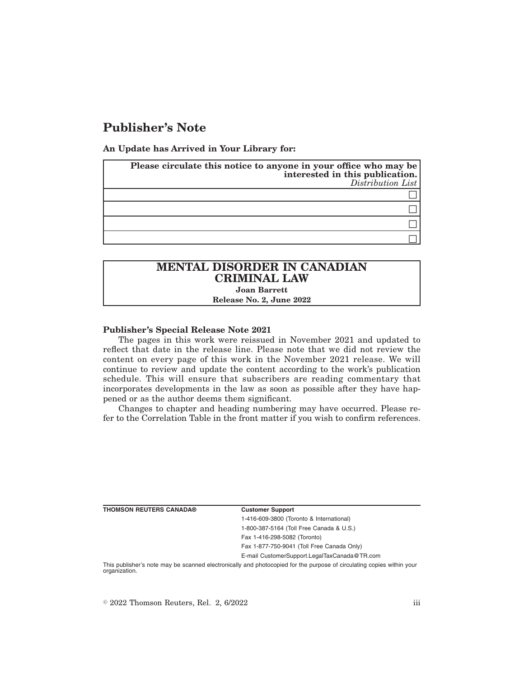## **Publisher's Note**

**An Update has Arrived in Your Library for:**

| Please circulate this notice to anyone in your office who may be<br>interested in this publication.<br>Distribution List |
|--------------------------------------------------------------------------------------------------------------------------|
|                                                                                                                          |
|                                                                                                                          |
|                                                                                                                          |
|                                                                                                                          |

# **MENTAL DISORDER IN CANADIAN CRIMINAL LAW**

**Joan Barrett**

**Release No. 2, June 2022**

#### **Publisher's Special Release Note 2021**

The pages in this work were reissued in November 2021 and updated to reflect that date in the release line. Please note that we did not review the content on every page of this work in the November 2021 release. We will continue to review and update the content according to the work's publication schedule. This will ensure that subscribers are reading commentary that incorporates developments in the law as soon as possible after they have happened or as the author deems them significant.

Changes to chapter and heading numbering may have occurred. Please refer to the Correlation Table in the front matter if you wish to confirm references.

**Customer Support** 

1-416-609-3800 (Toronto & International) 1-800-387-5164 (Toll Free Canada & U.S.) Fax 1-416-298-5082 (Toronto) Fax 1-877-750-9041 (Toll Free Canada Only)

E-mail CustomerSupport.LegalTaxCanada@TR.com

This publisher's note may be scanned electronically and photocopied for the purpose of circulating copies within your organization.

 $\degree$  2022 Thomson Reuters, Rel. 2, 6/2022 iii